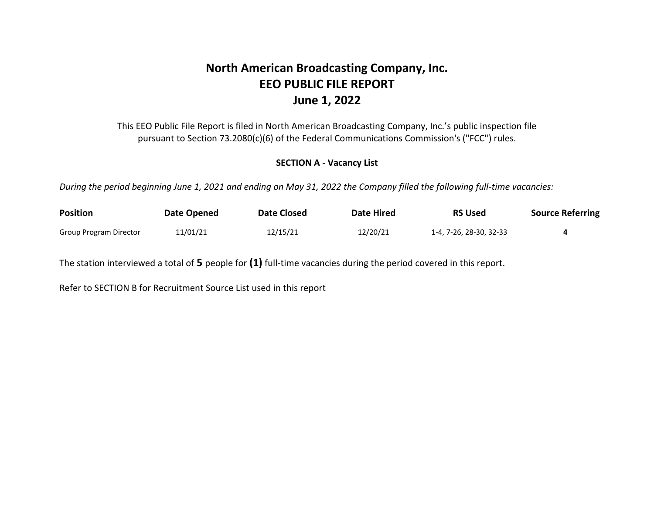# **North American Broadcasting Company, Inc. EEO PUBLIC FILE REPORT June 1, 2022**

This EEO Public File Report is filed in North American Broadcasting Company, Inc.'s public inspection file pursuant to Section 73.2080(c)(6) of the Federal Communications Commission's ("FCC") rules.

### **SECTION A - Vacancy List**

*During the period beginning June 1, 2021 and ending on May 31, 2022 the Company filled the following full-time vacancies:* 

| <b>Position</b>        | Date Opened | Date Closed | <b>Date Hired</b> | <b>RS Used</b>          | <b>Source Referring</b> |
|------------------------|-------------|-------------|-------------------|-------------------------|-------------------------|
| Group Program Director | 11/01/21    | 12/15/21    | 12/20/21          | 1-4, 7-26, 28-30, 32-33 |                         |

The station interviewed a total of **5** people for **(1)** full-time vacancies during the period covered in this report.

Refer to SECTION B for Recruitment Source List used in this report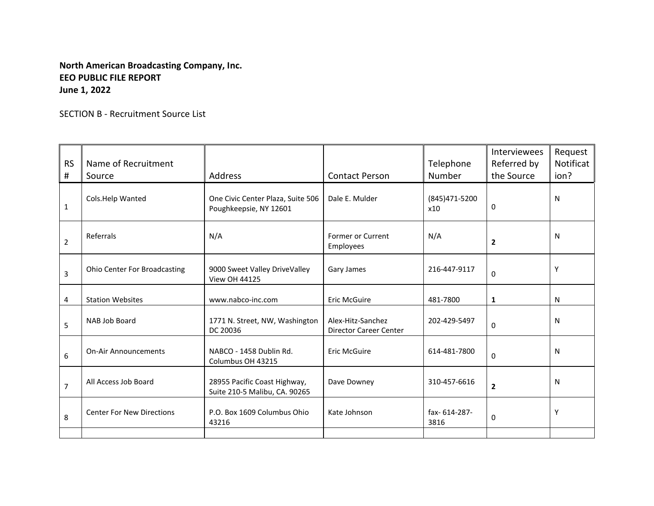## **North American Broadcasting Company, Inc. EEO PUBLIC FILE REPORT June 1, 2022**

SECTION B - Recruitment Source List

| <b>RS</b><br># | Name of Recruitment<br>Source       | <b>Address</b>                                                | <b>Contact Person</b>                              | Telephone<br>Number  | <b>Interviewees</b><br>Referred by<br>the Source | Request<br>Notificat<br>ion? |
|----------------|-------------------------------------|---------------------------------------------------------------|----------------------------------------------------|----------------------|--------------------------------------------------|------------------------------|
| $\mathbf{1}$   | Cols.Help Wanted                    | One Civic Center Plaza, Suite 506<br>Poughkeepsie, NY 12601   | Dale E. Mulder                                     | (845)471-5200<br>x10 | 0                                                | N                            |
| 2              | Referrals                           | N/A                                                           | Former or Current<br>Employees                     | N/A                  | $\overline{2}$                                   | N                            |
| 3              | <b>Ohio Center For Broadcasting</b> | 9000 Sweet Valley DriveValley<br><b>View OH 44125</b>         | Gary James                                         | 216-447-9117         | $\mathbf{0}$                                     | Υ                            |
| 4              | <b>Station Websites</b>             | www.nabco-inc.com                                             | <b>Eric McGuire</b>                                | 481-7800             | 1                                                | N                            |
| 5              | NAB Job Board                       | 1771 N. Street, NW, Washington<br>DC 20036                    | Alex-Hitz-Sanchez<br><b>Director Career Center</b> | 202-429-5497         | $\mathbf{0}$                                     | N                            |
| 6              | <b>On-Air Announcements</b>         | NABCO - 1458 Dublin Rd.<br>Columbus OH 43215                  | <b>Eric McGuire</b>                                | 614-481-7800         | $\mathbf{0}$                                     | N                            |
| $\overline{7}$ | All Access Job Board                | 28955 Pacific Coast Highway,<br>Suite 210-5 Malibu, CA. 90265 | Dave Downey                                        | 310-457-6616         | $\overline{2}$                                   | N                            |
| 8              | <b>Center For New Directions</b>    | P.O. Box 1609 Columbus Ohio<br>43216                          | Kate Johnson                                       | fax-614-287-<br>3816 | 0                                                | Υ                            |
|                |                                     |                                                               |                                                    |                      |                                                  |                              |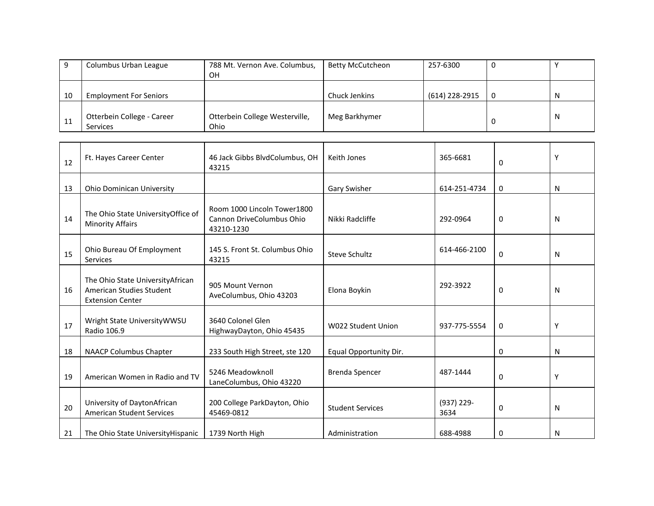|    | Columbus Urban League         | 788 Mt. Vernon Ave. Columbus,  | <b>Betty McCutcheon</b> | 257-6300       |   |
|----|-------------------------------|--------------------------------|-------------------------|----------------|---|
|    |                               | OΗ                             |                         |                |   |
|    |                               |                                |                         |                |   |
| 10 | <b>Employment For Seniors</b> |                                | Chuck Jenkins           | (614) 228-2915 | N |
|    |                               |                                |                         |                |   |
| 11 | Otterbein College - Career    | Otterbein College Westerville, | Meg Barkhymer           |                | N |
|    | Services                      | Ohio                           |                         |                |   |

| 12 | Ft. Hayes Career Center                                                                  | 46 Jack Gibbs BlvdColumbus, OH<br>43215                                | Keith Jones               | 365-6681           | 0 | Υ |
|----|------------------------------------------------------------------------------------------|------------------------------------------------------------------------|---------------------------|--------------------|---|---|
| 13 | <b>Ohio Dominican University</b>                                                         |                                                                        | Gary Swisher              | 614-251-4734       | 0 | N |
| 14 | The Ohio State UniversityOffice of<br><b>Minority Affairs</b>                            | Room 1000 Lincoln Tower1800<br>Cannon DriveColumbus Ohio<br>43210-1230 | Nikki Radcliffe           | 292-0964           | 0 | N |
| 15 | Ohio Bureau Of Employment<br>Services                                                    | 145 S. Front St. Columbus Ohio<br>43215                                | <b>Steve Schultz</b>      | 614-466-2100       | 0 | N |
| 16 | The Ohio State University African<br>American Studies Student<br><b>Extension Center</b> | 905 Mount Vernon<br>AveColumbus, Ohio 43203                            | Elona Boykin              | 292-3922           | 0 | N |
| 17 | Wright State UniversityWWSU<br>Radio 106.9                                               | 3640 Colonel Glen<br>HighwayDayton, Ohio 45435                         | <b>W022 Student Union</b> | 937-775-5554       | 0 | Υ |
| 18 | <b>NAACP Columbus Chapter</b>                                                            | 233 South High Street, ste 120                                         | Equal Opportunity Dir.    |                    | 0 | N |
| 19 | American Women in Radio and TV                                                           | 5246 Meadowknoll<br>LaneColumbus, Ohio 43220                           | <b>Brenda Spencer</b>     | 487-1444           | 0 | Υ |
| 20 | University of DaytonAfrican<br><b>American Student Services</b>                          | 200 College ParkDayton, Ohio<br>45469-0812                             | <b>Student Services</b>   | (937) 229-<br>3634 | 0 | N |
| 21 | The Ohio State University Hispanic                                                       | 1739 North High                                                        | Administration            | 688-4988           | 0 | N |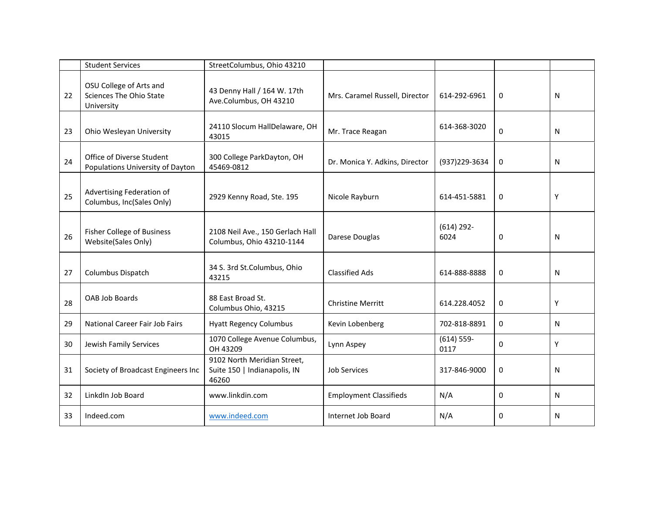|    | <b>Student Services</b>                                          | StreetColumbus, Ohio 43210                                           |                                |                      |   |   |
|----|------------------------------------------------------------------|----------------------------------------------------------------------|--------------------------------|----------------------|---|---|
| 22 | OSU College of Arts and<br>Sciences The Ohio State<br>University | 43 Denny Hall / 164 W. 17th<br>Ave.Columbus, OH 43210                | Mrs. Caramel Russell, Director | 614-292-6961         | 0 | N |
| 23 | Ohio Wesleyan University                                         | 24110 Slocum HallDelaware, OH<br>43015                               | Mr. Trace Reagan               | 614-368-3020         | 0 | N |
| 24 | Office of Diverse Student<br>Populations University of Dayton    | 300 College ParkDayton, OH<br>45469-0812                             | Dr. Monica Y. Adkins, Director | (937) 229-3634       | 0 | N |
| 25 | Advertising Federation of<br>Columbus, Inc(Sales Only)           | 2929 Kenny Road, Ste. 195                                            | Nicole Rayburn                 | 614-451-5881         | 0 | Υ |
| 26 | Fisher College of Business<br>Website(Sales Only)                | 2108 Neil Ave., 150 Gerlach Hall<br>Columbus, Ohio 43210-1144        | Darese Douglas                 | $(614)$ 292-<br>6024 | 0 | N |
| 27 | Columbus Dispatch                                                | 34 S. 3rd St.Columbus, Ohio<br>43215                                 | <b>Classified Ads</b>          | 614-888-8888         | 0 | N |
| 28 | OAB Job Boards                                                   | 88 East Broad St.<br>Columbus Ohio, 43215                            | <b>Christine Merritt</b>       | 614.228.4052         | 0 | Y |
| 29 | National Career Fair Job Fairs                                   | <b>Hyatt Regency Columbus</b>                                        | Kevin Lobenberg                | 702-818-8891         | 0 | N |
| 30 | Jewish Family Services                                           | 1070 College Avenue Columbus,<br>OH 43209                            | Lynn Aspey                     | $(614) 559-$<br>0117 | 0 | Y |
| 31 | Society of Broadcast Engineers Inc                               | 9102 North Meridian Street,<br>Suite 150   Indianapolis, IN<br>46260 | <b>Job Services</b>            | 317-846-9000         | 0 | N |
| 32 | LinkdIn Job Board                                                | www.linkdin.com                                                      | <b>Employment Classifieds</b>  | N/A                  | 0 | N |
| 33 | Indeed.com                                                       | www.indeed.com                                                       | Internet Job Board             | N/A                  | 0 | N |